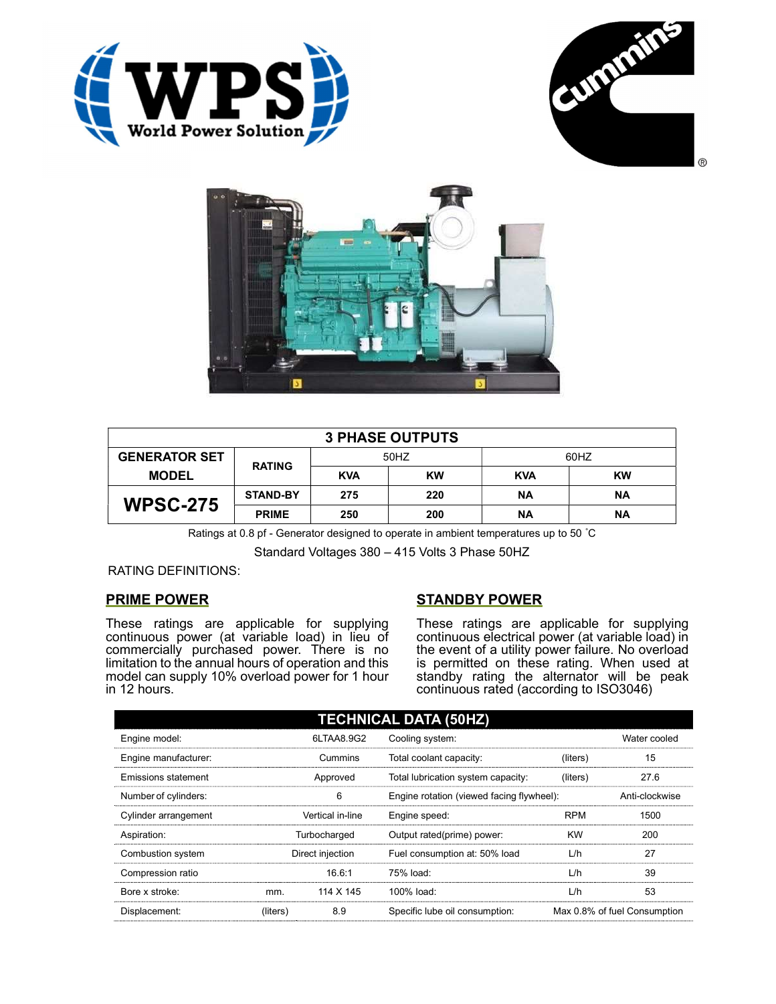





| <b>3 PHASE OUTPUTS</b> |                 |            |           |            |           |  |
|------------------------|-----------------|------------|-----------|------------|-----------|--|
| <b>GENERATOR SET</b>   | <b>RATING</b>   | 50HZ       |           | 60HZ       |           |  |
| <b>MODEL</b>           |                 | <b>KVA</b> | <b>KW</b> | <b>KVA</b> | <b>KW</b> |  |
| <b>WPSC-275</b>        | <b>STAND-BY</b> | 275        | 220       | ΝA         | <b>NA</b> |  |
|                        | <b>PRIME</b>    | 250        | 200       | <b>NA</b>  | <b>NA</b> |  |

Ratings at 0.8 pf - Generator designed to operate in ambient temperatures up to 50 °C

Standard Voltages 380 – 415 Volts 3 Phase 50HZ

RATING DEFINITIONS:

## PRIME POWER

These ratings are applicable for supplying continuous power (at variable load) in lieu of commercially purchased power. There is no limitation to the annual hours of operation and this model can supply 10% overload power for 1 hour in 12 hours.

## STANDBY POWER

These ratings are applicable for supplying continuous electrical power (at variable load) in the event of a utility power failure. No overload is permitted on these rating. When used at standby rating the alternator will be peak continuous rated (according to ISO3046)

| <b>TECHNICAL DATA (50HZ)</b> |                  |            |                                           |            |                              |  |
|------------------------------|------------------|------------|-------------------------------------------|------------|------------------------------|--|
| Engine model:                |                  | 6LTAA8.9G2 | Cooling system:                           |            | Water cooled                 |  |
| Engine manufacturer:         | Cummins          |            | Total coolant capacity:                   | (liters)   | 15                           |  |
| Emissions statement          | Approved         |            | Total lubrication system capacity:        | (liters)   | 27.6                         |  |
| Number of cylinders:         |                  | 6          | Engine rotation (viewed facing flywheel): |            | Anti-clockwise               |  |
| Cylinder arrangement         | Vertical in-line |            | Engine speed:                             | <b>RPM</b> | 1500                         |  |
| Aspiration:                  | Turbocharged     |            | Output rated(prime) power:                | <b>KW</b>  | 200                          |  |
| Combustion system            | Direct injection |            | Fuel consumption at: 50% load             | L/h        | 27                           |  |
| Compression ratio            |                  | 16.6:1     | 75% load:                                 | L/h        | 39                           |  |
| Bore x stroke:               | mm.              | 114 X 145  | 100% load:                                | L/h        | 53                           |  |
| Displacement:                | (liters)         | 8.9        | Specific lube oil consumption:            |            | Max 0.8% of fuel Consumption |  |